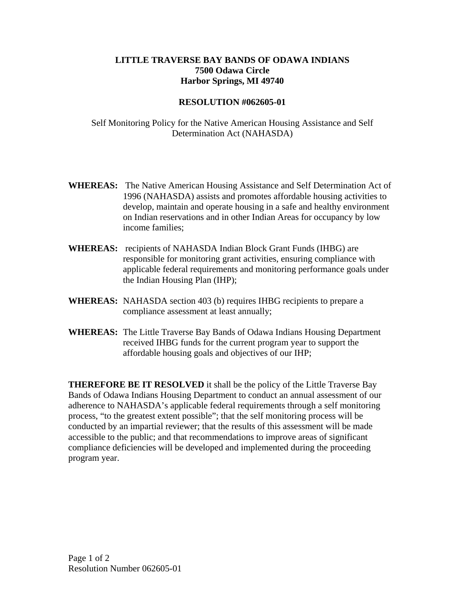## **LITTLE TRAVERSE BAY BANDS OF ODAWA INDIANS 7500 Odawa Circle Harbor Springs, MI 49740**

## **RESOLUTION #062605-01**

Self Monitoring Policy for the Native American Housing Assistance and Self Determination Act (NAHASDA)

- **WHEREAS:** The Native American Housing Assistance and Self Determination Act of 1996 (NAHASDA) assists and promotes affordable housing activities to develop, maintain and operate housing in a safe and healthy environment on Indian reservations and in other Indian Areas for occupancy by low income families;
- **WHEREAS:** recipients of NAHASDA Indian Block Grant Funds (IHBG) are responsible for monitoring grant activities, ensuring compliance with applicable federal requirements and monitoring performance goals under the Indian Housing Plan (IHP);
- **WHEREAS:** NAHASDA section 403 (b) requires IHBG recipients to prepare a compliance assessment at least annually;
- **WHEREAS:** The Little Traverse Bay Bands of Odawa Indians Housing Department received IHBG funds for the current program year to support the affordable housing goals and objectives of our IHP;

**THEREFORE BE IT RESOLVED** it shall be the policy of the Little Traverse Bay Bands of Odawa Indians Housing Department to conduct an annual assessment of our adherence to NAHASDA's applicable federal requirements through a self monitoring process, "to the greatest extent possible"; that the self monitoring process will be conducted by an impartial reviewer; that the results of this assessment will be made accessible to the public; and that recommendations to improve areas of significant compliance deficiencies will be developed and implemented during the proceeding program year.